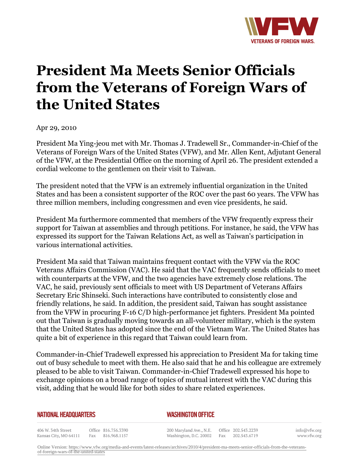

## **President Ma Meets Senior Officials from the Veterans of Foreign Wars of the United States**

Apr 29, 2010

President Ma Ying-jeou met with Mr. Thomas J. Tradewell Sr., Commander-in-Chief of the Veterans of Foreign Wars of the United States (VFW), and Mr. Allen Kent, Adjutant General of the VFW, at the Presidential Office on the morning of April 26. The president extended a cordial welcome to the gentlemen on their visit to Taiwan.

The president noted that the VFW is an extremely influential organization in the United States and has been a consistent supporter of the ROC over the past 60 years. The VFW has three million members, including congressmen and even vice presidents, he said.

President Ma furthermore commented that members of the VFW frequently express their support for Taiwan at assemblies and through petitions. For instance, he said, the VFW has expressed its support for the Taiwan Relations Act, as well as Taiwan's participation in various international activities.

President Ma said that Taiwan maintains frequent contact with the VFW via the ROC Veterans Affairs Commission (VAC). He said that the VAC frequently sends officials to meet with counterparts at the VFW, and the two agencies have extremely close relations. The VAC, he said, previously sent officials to meet with US Department of Veterans Affairs Secretary Eric Shinseki. Such interactions have contributed to consistently close and friendly relations, he said. In addition, the president said, Taiwan has sought assistance from the VFW in procuring F-16 C/D high-performance jet fighters. President Ma pointed out that Taiwan is gradually moving towards an all-volunteer military, which is the system that the United States has adopted since the end of the Vietnam War. The United States has quite a bit of experience in this regard that Taiwan could learn from.

Commander-in-Chief Tradewell expressed his appreciation to President Ma for taking time out of busy schedule to meet with them. He also said that he and his colleague are extremely pleased to be able to visit Taiwan. Commander-in-Chief Tradewell expressed his hope to exchange opinions on a broad range of topics of mutual interest with the VAC during this visit, adding that he would like for both sides to share related experiences.

## **NATIONAL HEADQUARTERS**

## *WASHINGTON OFFICE*

406 W. 34th Street Office 816.756.3390 Kansas City, MO 64111 Fax 816.968.1157

200 Maryland Ave., N.E. Washington, D.C. 20002

Office 202.543.2239 Fax 202.543.6719 info@vfw.org www.vfw.org

Online Version: [https://www.vfw.org/media-and-events/latest-releases/archives/2010/4/president-ma-meets-senior-officials-from-the-veterans](https://www.vfw.org/media-and-events/latest-releases/archives/2010/4/president-ma-meets-senior-officials-from-the-veterans-of-foreign-wars-of-the-united-states)[of-foreign-wars-of-the-united-states](https://www.vfw.org/media-and-events/latest-releases/archives/2010/4/president-ma-meets-senior-officials-from-the-veterans-of-foreign-wars-of-the-united-states)